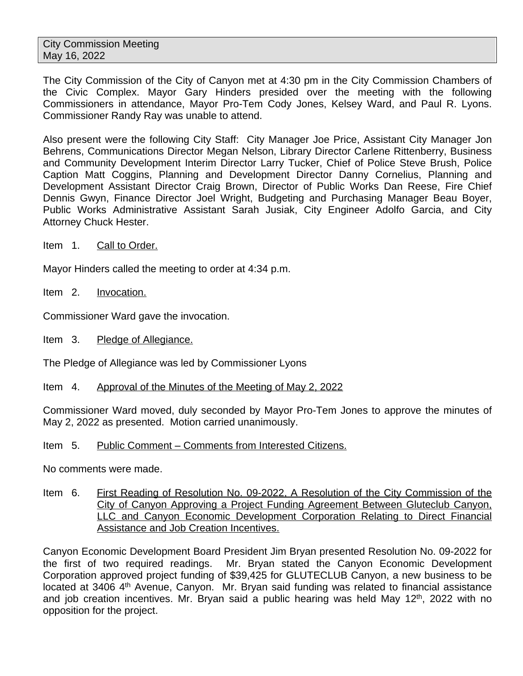The City Commission of the City of Canyon met at 4:30 pm in the City Commission Chambers of the Civic Complex. Mayor Gary Hinders presided over the meeting with the following Commissioners in attendance, Mayor Pro-Tem Cody Jones, Kelsey Ward, and Paul R. Lyons. Commissioner Randy Ray was unable to attend.

Also present were the following City Staff: City Manager Joe Price, Assistant City Manager Jon Behrens, Communications Director Megan Nelson, Library Director Carlene Rittenberry, Business and Community Development Interim Director Larry Tucker, Chief of Police Steve Brush, Police Caption Matt Coggins, Planning and Development Director Danny Cornelius, Planning and Development Assistant Director Craig Brown, Director of Public Works Dan Reese, Fire Chief Dennis Gwyn, Finance Director Joel Wright, Budgeting and Purchasing Manager Beau Boyer, Public Works Administrative Assistant Sarah Jusiak, City Engineer Adolfo Garcia, and City Attorney Chuck Hester.

Item 1. Call to Order.

Mayor Hinders called the meeting to order at 4:34 p.m.

Item 2. Invocation.

Commissioner Ward gave the invocation.

Item 3. Pledge of Allegiance.

The Pledge of Allegiance was led by Commissioner Lyons

Item 4. Approval of the Minutes of the Meeting of May 2, 2022

Commissioner Ward moved, duly seconded by Mayor Pro-Tem Jones to approve the minutes of May 2, 2022 as presented. Motion carried unanimously.

Item 5. Public Comment – Comments from Interested Citizens.

No comments were made.

Item 6. First Reading of Resolution No. 09-2022, A Resolution of the City Commission of the City of Canyon Approving a Project Funding Agreement Between Gluteclub Canyon, LLC and Canyon Economic Development Corporation Relating to Direct Financial Assistance and Job Creation Incentives.

Canyon Economic Development Board President Jim Bryan presented Resolution No. 09-2022 for the first of two required readings. Mr. Bryan stated the Canyon Economic Development Corporation approved project funding of \$39,425 for GLUTECLUB Canyon, a new business to be located at 3406 4<sup>th</sup> Avenue, Canyon. Mr. Bryan said funding was related to financial assistance and job creation incentives. Mr. Bryan said a public hearing was held May 12<sup>th</sup>, 2022 with no opposition for the project.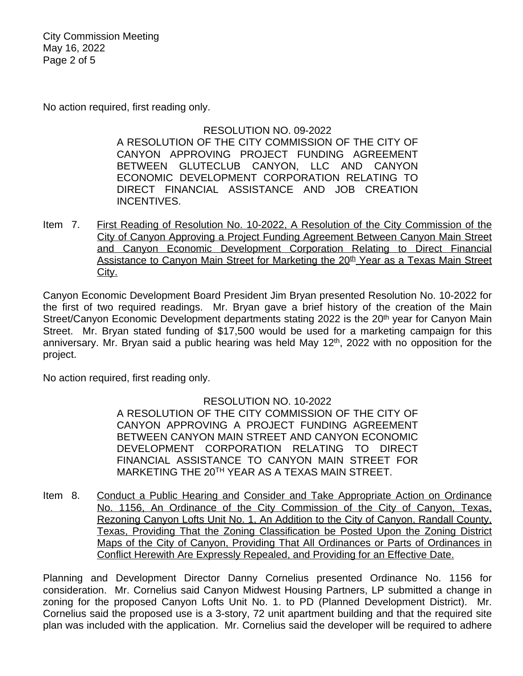City Commission Meeting May 16, 2022 Page 2 of 5

No action required, first reading only.

## RESOLUTION NO. 09-2022

A RESOLUTION OF THE CITY COMMISSION OF THE CITY OF CANYON APPROVING PROJECT FUNDING AGREEMENT BETWEEN GLUTECLUB CANYON, LLC AND CANYON ECONOMIC DEVELOPMENT CORPORATION RELATING TO DIRECT FINANCIAL ASSISTANCE AND JOB CREATION INCENTIVES.

Item 7. First Reading of Resolution No. 10-2022, A Resolution of the City Commission of the City of Canyon Approving a Project Funding Agreement Between Canyon Main Street and Canyon Economic Development Corporation Relating to Direct Financial Assistance to Canyon Main Street for Marketing the 20<sup>th</sup> Year as a Texas Main Street City.

Canyon Economic Development Board President Jim Bryan presented Resolution No. 10-2022 for the first of two required readings. Mr. Bryan gave a brief history of the creation of the Main Street/Canyon Economic Development departments stating 2022 is the 20<sup>th</sup> year for Canyon Main Street. Mr. Bryan stated funding of \$17,500 would be used for a marketing campaign for this anniversary. Mr. Bryan said a public hearing was held May 12<sup>th</sup>, 2022 with no opposition for the project.

No action required, first reading only.

### RESOLUTION NO. 10-2022

A RESOLUTION OF THE CITY COMMISSION OF THE CITY OF CANYON APPROVING A PROJECT FUNDING AGREEMENT BETWEEN CANYON MAIN STREET AND CANYON ECONOMIC DEVELOPMENT CORPORATION RELATING TO DIRECT FINANCIAL ASSISTANCE TO CANYON MAIN STREET FOR MARKETING THE 20TH YEAR AS A TEXAS MAIN STREET.

Item 8. Conduct a Public Hearing and Consider and Take Appropriate Action on Ordinance No. 1156, An Ordinance of the City Commission of the City of Canyon, Texas, Rezoning Canyon Lofts Unit No. 1, An Addition to the City of Canyon, Randall County, Texas, Providing That the Zoning Classification be Posted Upon the Zoning District Maps of the City of Canyon, Providing That All Ordinances or Parts of Ordinances in Conflict Herewith Are Expressly Repealed, and Providing for an Effective Date.

Planning and Development Director Danny Cornelius presented Ordinance No. 1156 for consideration. Mr. Cornelius said Canyon Midwest Housing Partners, LP submitted a change in zoning for the proposed Canyon Lofts Unit No. 1. to PD (Planned Development District). Mr. Cornelius said the proposed use is a 3-story, 72 unit apartment building and that the required site plan was included with the application. Mr. Cornelius said the developer will be required to adhere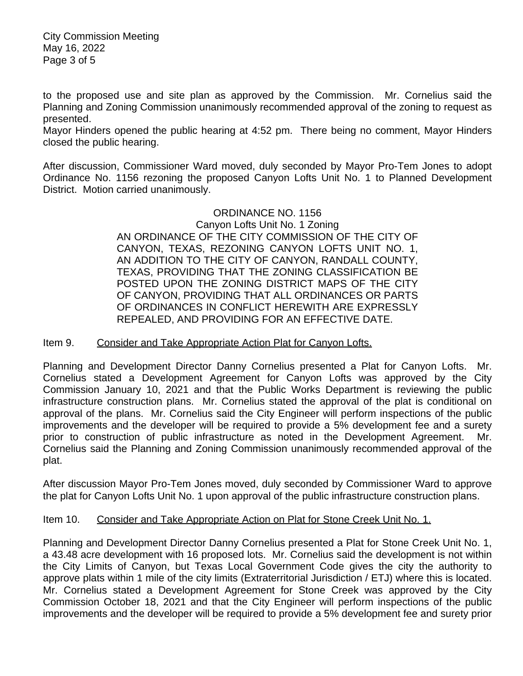City Commission Meeting May 16, 2022 Page 3 of 5

to the proposed use and site plan as approved by the Commission. Mr. Cornelius said the Planning and Zoning Commission unanimously recommended approval of the zoning to request as presented.

Mayor Hinders opened the public hearing at 4:52 pm. There being no comment, Mayor Hinders closed the public hearing.

After discussion, Commissioner Ward moved, duly seconded by Mayor Pro-Tem Jones to adopt Ordinance No. 1156 rezoning the proposed Canyon Lofts Unit No. 1 to Planned Development District. Motion carried unanimously.

#### ORDINANCE NO. 1156 Canyon Lofts Unit No. 1 Zoning AN ORDINANCE OF THE CITY COMMISSION OF THE CITY OF CANYON, TEXAS, REZONING CANYON LOFTS UNIT NO. 1, AN ADDITION TO THE CITY OF CANYON, RANDALL COUNTY, TEXAS, PROVIDING THAT THE ZONING CLASSIFICATION BE POSTED UPON THE ZONING DISTRICT MAPS OF THE CITY OF CANYON, PROVIDING THAT ALL ORDINANCES OR PARTS OF ORDINANCES IN CONFLICT HEREWITH ARE EXPRESSLY REPEALED, AND PROVIDING FOR AN EFFECTIVE DATE.

## Item 9. Consider and Take Appropriate Action Plat for Canyon Lofts.

Planning and Development Director Danny Cornelius presented a Plat for Canyon Lofts. Mr. Cornelius stated a Development Agreement for Canyon Lofts was approved by the City Commission January 10, 2021 and that the Public Works Department is reviewing the public infrastructure construction plans. Mr. Cornelius stated the approval of the plat is conditional on approval of the plans. Mr. Cornelius said the City Engineer will perform inspections of the public improvements and the developer will be required to provide a 5% development fee and a surety prior to construction of public infrastructure as noted in the Development Agreement. Mr. Cornelius said the Planning and Zoning Commission unanimously recommended approval of the plat.

After discussion Mayor Pro-Tem Jones moved, duly seconded by Commissioner Ward to approve the plat for Canyon Lofts Unit No. 1 upon approval of the public infrastructure construction plans.

# Item 10. Consider and Take Appropriate Action on Plat for Stone Creek Unit No. 1.

Planning and Development Director Danny Cornelius presented a Plat for Stone Creek Unit No. 1, a 43.48 acre development with 16 proposed lots. Mr. Cornelius said the development is not within the City Limits of Canyon, but Texas Local Government Code gives the city the authority to approve plats within 1 mile of the city limits (Extraterritorial Jurisdiction / ETJ) where this is located. Mr. Cornelius stated a Development Agreement for Stone Creek was approved by the City Commission October 18, 2021 and that the City Engineer will perform inspections of the public improvements and the developer will be required to provide a 5% development fee and surety prior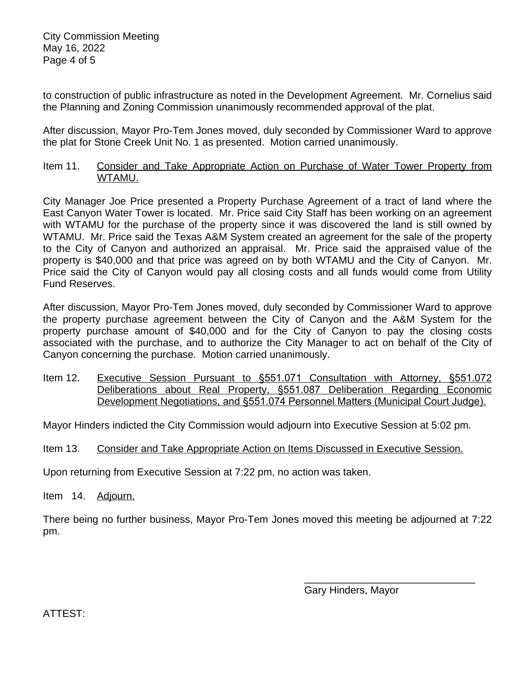to construction of public infrastructure as noted in the Development Agreement. Mr. Cornelius said the Planning and Zoning Commission unanimously recommended approval of the plat.

After discussion, Mayor Pro-Tem Jones moved, duly seconded by Commissioner Ward to approve the plat for Stone Creek Unit No. 1 as presented. Motion carried unanimously.

Item 11. Consider and Take Appropriate Action on Purchase of Water Tower Property from WTAMU.

City Manager Joe Price presented a Property Purchase Agreement of a tract of land where the East Canyon Water Tower is located. Mr. Price said City Staff has been working on an agreement with WTAMU for the purchase of the property since it was discovered the land is still owned by WTAMU. Mr. Price said the Texas A&M System created an agreement for the sale of the property to the City of Canyon and authorized an appraisal. Mr. Price said the appraised value of the property is \$40,000 and that price was agreed on by both WTAMU and the City of Canyon. Mr. Price said the City of Canyon would pay all closing costs and all funds would come from Utility Fund Reserves.

After discussion, Mayor Pro-Tem Jones moved, duly seconded by Commissioner Ward to approve the property purchase agreement between the City of Canyon and the A&M System for the property purchase amount of \$40,000 and for the City of Canyon to pay the closing costs associated with the purchase, and to authorize the City Manager to act on behalf of the City of Canyon concerning the purchase. Motion carried unanimously.

Item 12. Executive Session Pursuant to §551.071 Consultation with Attorney, §551.072 Deliberations about Real Property, §551.087 Deliberation Regarding Economic Development Negotiations, and §551.074 Personnel Matters (Municipal Court Judge).

Mayor Hinders indicted the City Commission would adjourn into Executive Session at 5:02 pm.

Item 13. Consider and Take Appropriate Action on Items Discussed in Executive Session.

Upon returning from Executive Session at 7:22 pm, no action was taken.

Item 14. Adjourn.

There being no further business, Mayor Pro-Tem Jones moved this meeting be adjourned at 7:22 pm.

> \_\_\_\_\_\_\_\_\_\_\_\_\_\_\_\_\_\_\_\_\_\_\_\_\_\_\_\_\_\_ Gary Hinders, Mayor